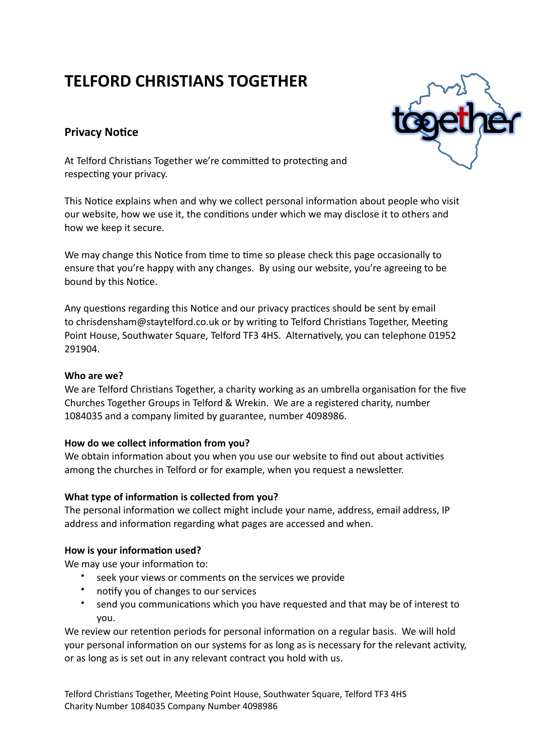# **TELFORD CHRISTIANS TOGETHER**

## **Privacy Notice**

At Telford Christians Together we're committed to protecting and respecting your privacy.

This Notice explains when and why we collect personal information about people who visit our website, how we use it, the conditions under which we may disclose it to others and how we keep it secure.

We may change this Notice from time to time so please check this page occasionally to ensure that you're happy with any changes. By using our website, you're agreeing to be bound by this Notice.

Any questions regarding this Notice and our privacy practices should be sent by email to chrisdensham@staytelford.co.uk or by writing to Telford Christians Together, Meeting Point House, Southwater Square, Telford TF3 4HS. Alternatively, you can telephone 01952 291904.

## **Who are we?**

We are Telford Christians Together, a charity working as an umbrella organisation for the five Churches Together Groups in Telford & Wrekin. We are a registered charity, number 1084035 and a company limited by guarantee, number 4098986.

## How do we collect information from you?

We obtain information about you when you use our website to find out about activities among the churches in Telford or for example, when you request a newsletter.

## What type of information is collected from you?

The personal information we collect might include your name, address, email address, IP address and information regarding what pages are accessed and when.

## How is your information used?

We may use your information to:

- seek your views or comments on the services we provide
- notify you of changes to our services
- send you communications which you have requested and that may be of interest to you.

We review our retention periods for personal information on a regular basis. We will hold your personal information on our systems for as long as is necessary for the relevant activity, or as long as is set out in any relevant contract you hold with us.

Telford Christians Together, Meeting Point House, Southwater Square, Telford TF3 4HS Charity Number 1084035 Company Number 4098986

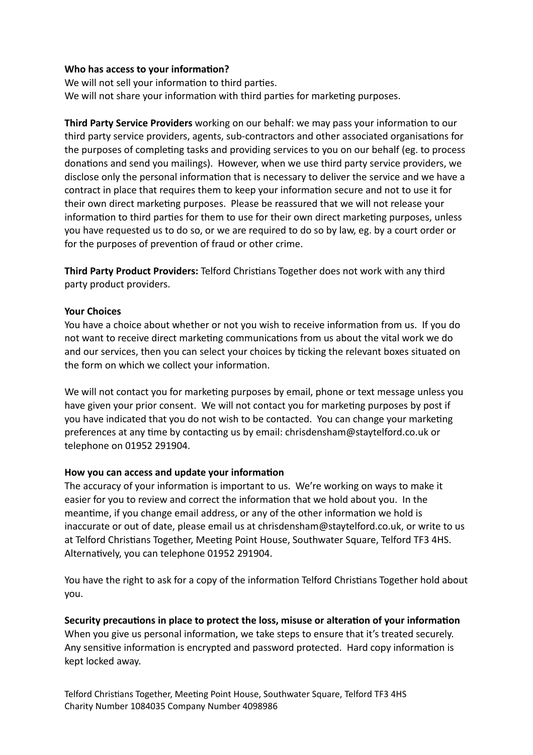## **Who has access to your information?**

We will not sell your information to third parties. We will not share your information with third parties for marketing purposes.

**Third Party Service Providers** working on our behalf: we may pass your information to our third party service providers, agents, sub-contractors and other associated organisations for the purposes of completing tasks and providing services to you on our behalf (eg. to process donations and send you mailings). However, when we use third party service providers, we disclose only the personal information that is necessary to deliver the service and we have a contract in place that requires them to keep your information secure and not to use it for their own direct marketing purposes. Please be reassured that we will not release your information to third parties for them to use for their own direct marketing purposes, unless you have requested us to do so, or we are required to do so by law, eg. by a court order or for the purposes of prevention of fraud or other crime.

**Third Party Product Providers:** Telford Christians Together does not work with any third party product providers.

## **Your Choices**

You have a choice about whether or not you wish to receive information from us. If you do not want to receive direct marketing communications from us about the vital work we do and our services, then you can select your choices by ticking the relevant boxes situated on the form on which we collect your information.

We will not contact you for marketing purposes by email, phone or text message unless you have given your prior consent. We will not contact you for marketing purposes by post if you have indicated that you do not wish to be contacted. You can change your marketing preferences at any time by contacting us by email: chrisdensham@staytelford.co.uk or telephone on 01952 291904.

## How you can access and update your information

The accuracy of your information is important to us. We're working on ways to make it easier for you to review and correct the information that we hold about you. In the meantime, if you change email address, or any of the other information we hold is inaccurate or out of date, please email us at chrisdensham@staytelford.co.uk, or write to us at Telford Christians Together, Meeting Point House, Southwater Square, Telford TF3 4HS. Alternatively, you can telephone 01952 291904.

You have the right to ask for a copy of the information Telford Christians Together hold about you.

Security precautions in place to protect the loss, misuse or alteration of your information When you give us personal information, we take steps to ensure that it's treated securely. Any sensitive information is encrypted and password protected. Hard copy information is kept locked away.

Telford Christians Together, Meeting Point House, Southwater Square, Telford TF3 4HS Charity Number 1084035 Company Number 4098986